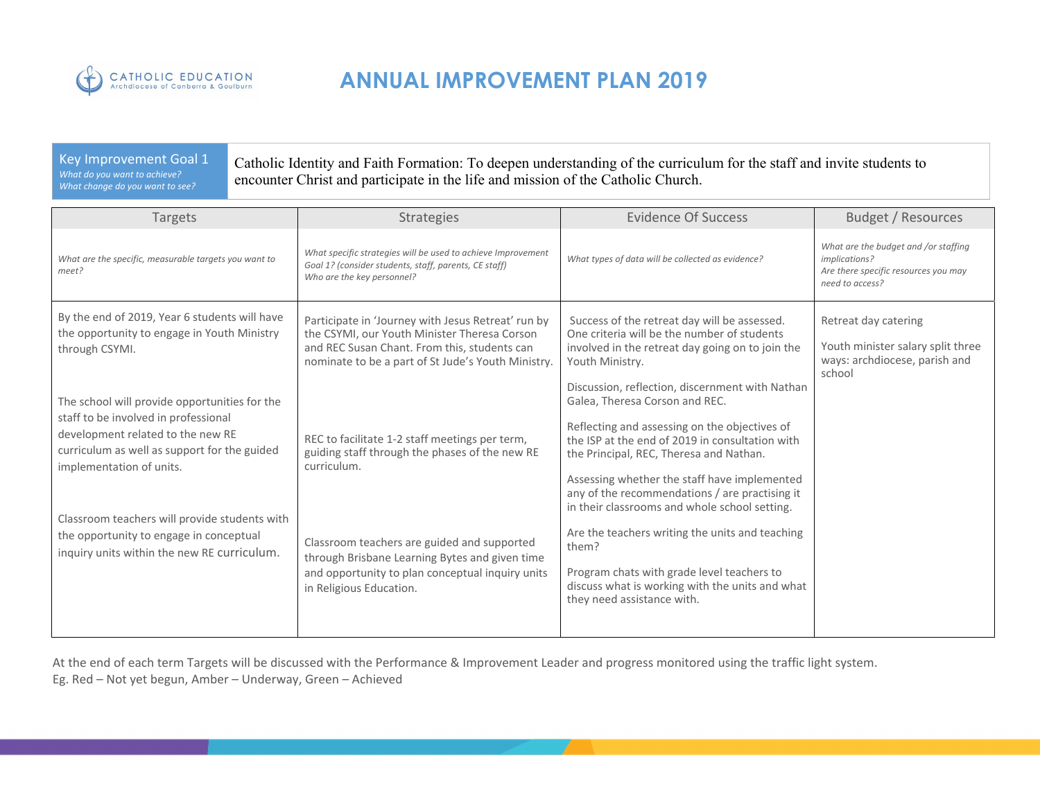

#### Key Improvement Goal 1 *What do you want to achieve? What change do you want to see?*

Catholic Identity and Faith Formation: To deepen understanding of the curriculum for the staff and invite students to encounter Christ and participate in the life and mission of the Catholic Church.

| <b>Targets</b>                                                                                                                                                                                                                                                                                                                                    | Strategies                                                                                                                                                                                                                                                                                      | <b>Evidence Of Success</b>                                                                                                                                                                                                                                                                                                                                                                                                                                                                                                                                                     | Budget / Resources                                                                                               |
|---------------------------------------------------------------------------------------------------------------------------------------------------------------------------------------------------------------------------------------------------------------------------------------------------------------------------------------------------|-------------------------------------------------------------------------------------------------------------------------------------------------------------------------------------------------------------------------------------------------------------------------------------------------|--------------------------------------------------------------------------------------------------------------------------------------------------------------------------------------------------------------------------------------------------------------------------------------------------------------------------------------------------------------------------------------------------------------------------------------------------------------------------------------------------------------------------------------------------------------------------------|------------------------------------------------------------------------------------------------------------------|
| What are the specific, measurable targets you want to<br>meet?                                                                                                                                                                                                                                                                                    | What specific strategies will be used to achieve Improvement<br>Goal 1? (consider students, staff, parents, CE staff)<br>Who are the key personnel?                                                                                                                                             | What types of data will be collected as evidence?                                                                                                                                                                                                                                                                                                                                                                                                                                                                                                                              | What are the budget and /or staffing<br>implications?<br>Are there specific resources you may<br>need to access? |
| By the end of 2019, Year 6 students will have<br>the opportunity to engage in Youth Ministry<br>through CSYMI.                                                                                                                                                                                                                                    | Participate in 'Journey with Jesus Retreat' run by<br>the CSYMI, our Youth Minister Theresa Corson<br>and REC Susan Chant. From this, students can<br>nominate to be a part of St Jude's Youth Ministry.                                                                                        | Success of the retreat day will be assessed.<br>One criteria will be the number of students<br>involved in the retreat day going on to join the<br>Youth Ministry.                                                                                                                                                                                                                                                                                                                                                                                                             | Retreat day catering<br>Youth minister salary split three<br>ways: archdiocese, parish and<br>school             |
| The school will provide opportunities for the<br>staff to be involved in professional<br>development related to the new RE<br>curriculum as well as support for the guided<br>implementation of units.<br>Classroom teachers will provide students with<br>the opportunity to engage in conceptual<br>inquiry units within the new RE curriculum. | REC to facilitate 1-2 staff meetings per term,<br>guiding staff through the phases of the new RE<br>curriculum.<br>Classroom teachers are guided and supported<br>through Brisbane Learning Bytes and given time<br>and opportunity to plan conceptual inquiry units<br>in Religious Education. | Discussion, reflection, discernment with Nathan<br>Galea, Theresa Corson and REC.<br>Reflecting and assessing on the objectives of<br>the ISP at the end of 2019 in consultation with<br>the Principal, REC, Theresa and Nathan.<br>Assessing whether the staff have implemented<br>any of the recommendations / are practising it<br>in their classrooms and whole school setting.<br>Are the teachers writing the units and teaching<br>them?<br>Program chats with grade level teachers to<br>discuss what is working with the units and what<br>they need assistance with. |                                                                                                                  |

At the end of each term Targets will be discussed with the Performance & Improvement Leader and progress monitored using the traffic light system. Eg. Red – Not yet begun, Amber – Underway, Green – Achieved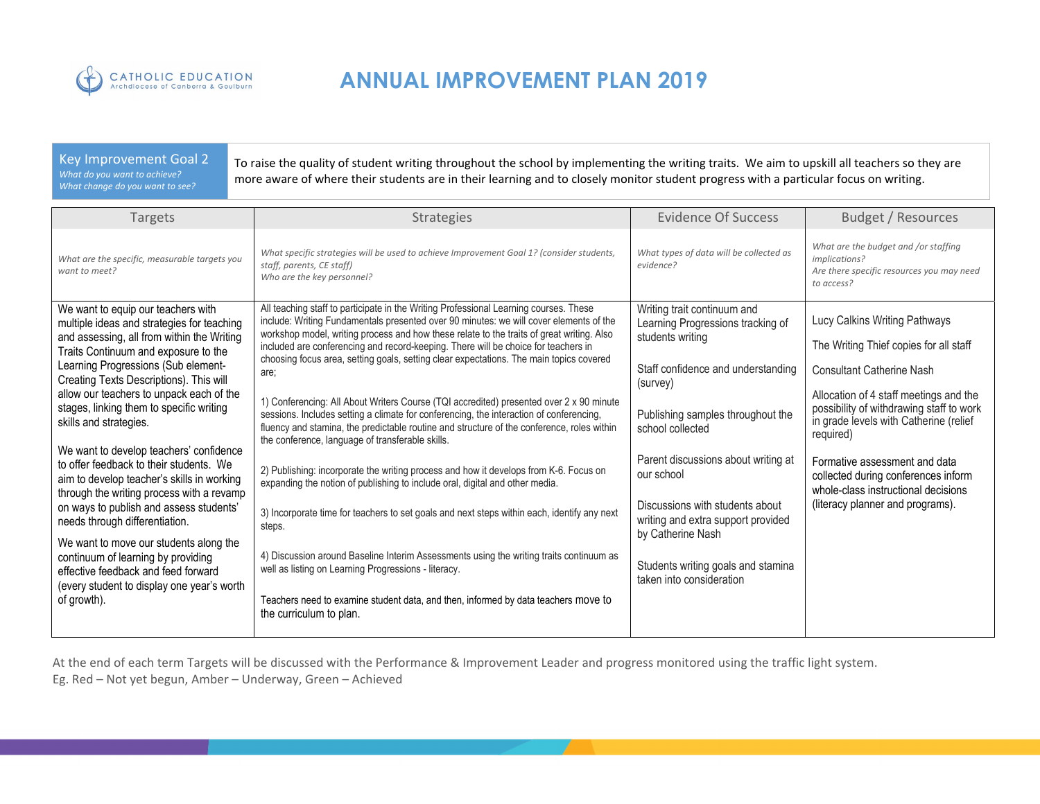

#### Key Improvement Goal 2 *What do you want to achieve? What change do you want to see?*

To raise the quality of student writing throughout the school by implementing the writing traits. We aim to upskill all teachers so they are more aware of where their students are in their learning and to closely monitor student progress with a particular focus on writing.

| Targets                                                                                                                                                                                                                                                                                                                                                                                                                                                                                                                                                                                                                                                                                                                                                                                                                      | <b>Strategies</b>                                                                                                                                                                                                                                                                                                                                                                                                                                                                                                                                                                                                                                                                                                                                                                                                                                                                                                                                                                                                                                                                                                                                                                                                                                                                                                                                                   | <b>Evidence Of Success</b>                                                                                                                                                                                                                                                                                                                                                                                           | <b>Budget / Resources</b>                                                                                                                                                                                                                                                                                                                                                                                   |
|------------------------------------------------------------------------------------------------------------------------------------------------------------------------------------------------------------------------------------------------------------------------------------------------------------------------------------------------------------------------------------------------------------------------------------------------------------------------------------------------------------------------------------------------------------------------------------------------------------------------------------------------------------------------------------------------------------------------------------------------------------------------------------------------------------------------------|---------------------------------------------------------------------------------------------------------------------------------------------------------------------------------------------------------------------------------------------------------------------------------------------------------------------------------------------------------------------------------------------------------------------------------------------------------------------------------------------------------------------------------------------------------------------------------------------------------------------------------------------------------------------------------------------------------------------------------------------------------------------------------------------------------------------------------------------------------------------------------------------------------------------------------------------------------------------------------------------------------------------------------------------------------------------------------------------------------------------------------------------------------------------------------------------------------------------------------------------------------------------------------------------------------------------------------------------------------------------|----------------------------------------------------------------------------------------------------------------------------------------------------------------------------------------------------------------------------------------------------------------------------------------------------------------------------------------------------------------------------------------------------------------------|-------------------------------------------------------------------------------------------------------------------------------------------------------------------------------------------------------------------------------------------------------------------------------------------------------------------------------------------------------------------------------------------------------------|
| What are the specific, measurable targets you<br>want to meet?                                                                                                                                                                                                                                                                                                                                                                                                                                                                                                                                                                                                                                                                                                                                                               | What specific strategies will be used to achieve Improvement Goal 1? (consider students,<br>staff, parents, CE staff)<br>Who are the key personnel?                                                                                                                                                                                                                                                                                                                                                                                                                                                                                                                                                                                                                                                                                                                                                                                                                                                                                                                                                                                                                                                                                                                                                                                                                 | What types of data will be collected as<br>evidence?                                                                                                                                                                                                                                                                                                                                                                 | What are the budget and /or staffing<br>implications?<br>Are there specific resources you may need<br>to access?                                                                                                                                                                                                                                                                                            |
| We want to equip our teachers with<br>multiple ideas and strategies for teaching<br>and assessing, all from within the Writing<br>Traits Continuum and exposure to the<br>Learning Progressions (Sub element-<br>Creating Texts Descriptions). This will<br>allow our teachers to unpack each of the<br>stages, linking them to specific writing<br>skills and strategies.<br>We want to develop teachers' confidence<br>to offer feedback to their students. We<br>aim to develop teacher's skills in working<br>through the writing process with a revamp<br>on ways to publish and assess students'<br>needs through differentiation.<br>We want to move our students along the<br>continuum of learning by providing<br>effective feedback and feed forward<br>(every student to display one year's worth<br>of growth). | All teaching staff to participate in the Writing Professional Learning courses. These<br>include: Writing Fundamentals presented over 90 minutes: we will cover elements of the<br>workshop model, writing process and how these relate to the traits of great writing. Also<br>included are conferencing and record-keeping. There will be choice for teachers in<br>choosing focus area, setting goals, setting clear expectations. The main topics covered<br>are;<br>1) Conferencing: All About Writers Course (TQI accredited) presented over 2 x 90 minute<br>sessions. Includes setting a climate for conferencing, the interaction of conferencing,<br>fluency and stamina, the predictable routine and structure of the conference, roles within<br>the conference, language of transferable skills.<br>2) Publishing: incorporate the writing process and how it develops from K-6. Focus on<br>expanding the notion of publishing to include oral, digital and other media.<br>3) Incorporate time for teachers to set goals and next steps within each, identify any next<br>steps.<br>4) Discussion around Baseline Interim Assessments using the writing traits continuum as<br>well as listing on Learning Progressions - literacy.<br>Teachers need to examine student data, and then, informed by data teachers move to<br>the curriculum to plan. | Writing trait continuum and<br>Learning Progressions tracking of<br>students writing<br>Staff confidence and understanding<br>(survey)<br>Publishing samples throughout the<br>school collected<br>Parent discussions about writing at<br>our school<br>Discussions with students about<br>writing and extra support provided<br>by Catherine Nash<br>Students writing goals and stamina<br>taken into consideration | Lucy Calkins Writing Pathways<br>The Writing Thief copies for all staff<br><b>Consultant Catherine Nash</b><br>Allocation of 4 staff meetings and the<br>possibility of withdrawing staff to work<br>in grade levels with Catherine (relief<br>required)<br>Formative assessment and data<br>collected during conferences inform<br>whole-class instructional decisions<br>(literacy planner and programs). |

At the end of each term Targets will be discussed with the Performance & Improvement Leader and progress monitored using the traffic light system. Eg. Red – Not yet begun, Amber – Underway, Green – Achieved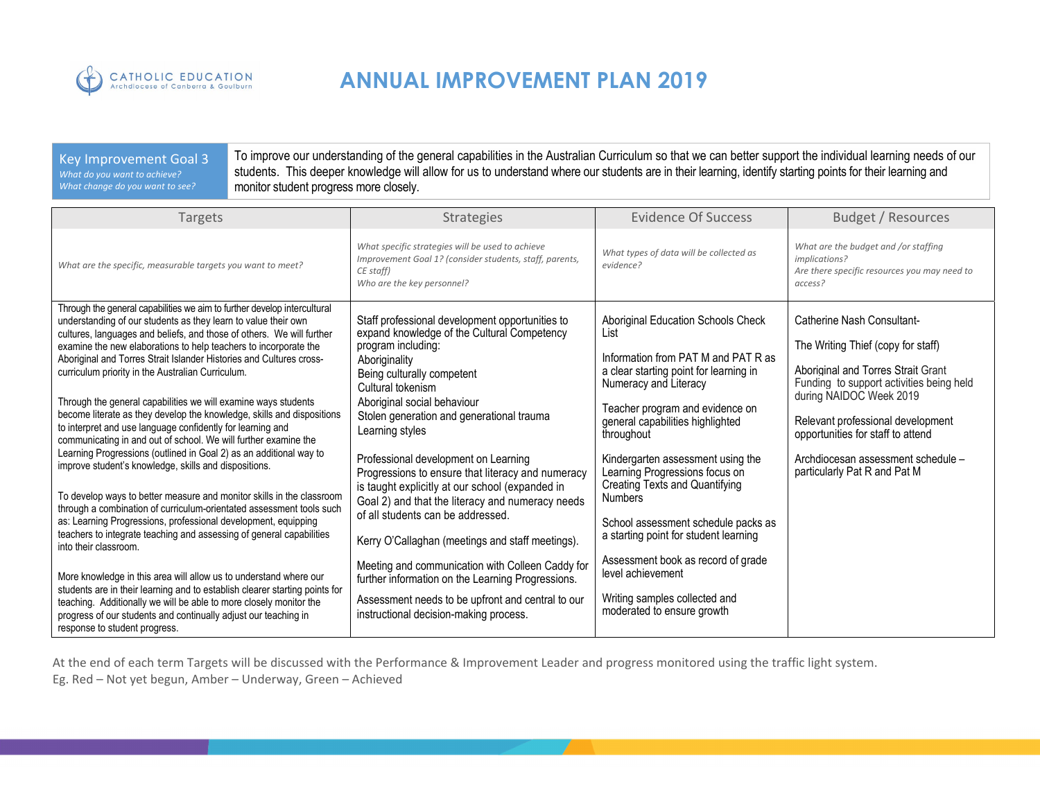

#### Key Improvement Goal 3 *What do you want to achieve? What change do you want to see?*

To improve our understanding of the general capabilities in the Australian Curriculum so that we can better support the individual learning needs of our students. This deeper knowledge will allow for us to understand where our students are in their learning, identify starting points for their learning and monitor student progress more closely.

| Targets                                                                                                                                                                                                                                                                                                                                                                                                                                                                                                                                                                                                                                                                                                                                                                                                                                                                                                                                                                                                                                                                                                                                                                                                                                                                                                                                                                                                                                                                           | <b>Strategies</b>                                                                                                                                                                                                                                                                                                                                                                                                                                                                                                                                                                                                                                                                                                                                                                            | <b>Evidence Of Success</b>                                                                                                                                                                                                                                                                                                                                                                                                                                                                                                                                                     | Budget / Resources                                                                                                                                                                                                                                                                                                                   |
|-----------------------------------------------------------------------------------------------------------------------------------------------------------------------------------------------------------------------------------------------------------------------------------------------------------------------------------------------------------------------------------------------------------------------------------------------------------------------------------------------------------------------------------------------------------------------------------------------------------------------------------------------------------------------------------------------------------------------------------------------------------------------------------------------------------------------------------------------------------------------------------------------------------------------------------------------------------------------------------------------------------------------------------------------------------------------------------------------------------------------------------------------------------------------------------------------------------------------------------------------------------------------------------------------------------------------------------------------------------------------------------------------------------------------------------------------------------------------------------|----------------------------------------------------------------------------------------------------------------------------------------------------------------------------------------------------------------------------------------------------------------------------------------------------------------------------------------------------------------------------------------------------------------------------------------------------------------------------------------------------------------------------------------------------------------------------------------------------------------------------------------------------------------------------------------------------------------------------------------------------------------------------------------------|--------------------------------------------------------------------------------------------------------------------------------------------------------------------------------------------------------------------------------------------------------------------------------------------------------------------------------------------------------------------------------------------------------------------------------------------------------------------------------------------------------------------------------------------------------------------------------|--------------------------------------------------------------------------------------------------------------------------------------------------------------------------------------------------------------------------------------------------------------------------------------------------------------------------------------|
| What are the specific, measurable targets you want to meet?                                                                                                                                                                                                                                                                                                                                                                                                                                                                                                                                                                                                                                                                                                                                                                                                                                                                                                                                                                                                                                                                                                                                                                                                                                                                                                                                                                                                                       | What specific strategies will be used to achieve<br>Improvement Goal 1? (consider students, staff, parents,<br>CE staff)<br>Who are the key personnel?                                                                                                                                                                                                                                                                                                                                                                                                                                                                                                                                                                                                                                       | What types of data will be collected as<br>evidence?                                                                                                                                                                                                                                                                                                                                                                                                                                                                                                                           | What are the budget and /or staffing<br>implications?<br>Are there specific resources you may need to<br>access?                                                                                                                                                                                                                     |
| Through the general capabilities we aim to further develop intercultural<br>understanding of our students as they learn to value their own<br>cultures, languages and beliefs, and those of others. We will further<br>examine the new elaborations to help teachers to incorporate the<br>Aboriginal and Torres Strait Islander Histories and Cultures cross-<br>curriculum priority in the Australian Curriculum.<br>Through the general capabilities we will examine ways students<br>become literate as they develop the knowledge, skills and dispositions<br>to interpret and use language confidently for learning and<br>communicating in and out of school. We will further examine the<br>Learning Progressions (outlined in Goal 2) as an additional way to<br>improve student's knowledge, skills and dispositions.<br>To develop ways to better measure and monitor skills in the classroom<br>through a combination of curriculum-orientated assessment tools such<br>as: Learning Progressions, professional development, equipping<br>teachers to integrate teaching and assessing of general capabilities<br>into their classroom.<br>More knowledge in this area will allow us to understand where our<br>students are in their learning and to establish clearer starting points for<br>teaching. Additionally we will be able to more closely monitor the<br>progress of our students and continually adjust our teaching in<br>response to student progress. | Staff professional development opportunities to<br>expand knowledge of the Cultural Competency<br>program including:<br>Aboriginality<br>Being culturally competent<br>Cultural tokenism<br>Aboriginal social behaviour<br>Stolen generation and generational trauma<br>Learning styles<br>Professional development on Learning<br>Progressions to ensure that literacy and numeracy<br>is taught explicitly at our school (expanded in<br>Goal 2) and that the literacy and numeracy needs<br>of all students can be addressed.<br>Kerry O'Callaghan (meetings and staff meetings).<br>Meeting and communication with Colleen Caddy for<br>further information on the Learning Progressions.<br>Assessment needs to be upfront and central to our<br>instructional decision-making process. | Aboriginal Education Schools Check<br>List<br>Information from PAT M and PAT R as<br>a clear starting point for learning in<br>Numeracy and Literacy<br>Teacher program and evidence on<br>general capabilities highlighted<br>throughout<br>Kindergarten assessment using the<br>Learning Progressions focus on<br>Creating Texts and Quantifying<br><b>Numbers</b><br>School assessment schedule packs as<br>a starting point for student learning<br>Assessment book as record of grade<br>level achievement<br>Writing samples collected and<br>moderated to ensure growth | <b>Catherine Nash Consultant-</b><br>The Writing Thief (copy for staff)<br>Aboriginal and Torres Strait Grant<br>Funding to support activities being held<br>during NAIDOC Week 2019<br>Relevant professional development<br>opportunities for staff to attend<br>Archdiocesan assessment schedule -<br>particularly Pat R and Pat M |

At the end of each term Targets will be discussed with the Performance & Improvement Leader and progress monitored using the traffic light system. Eg. Red – Not yet begun, Amber – Underway, Green – Achieved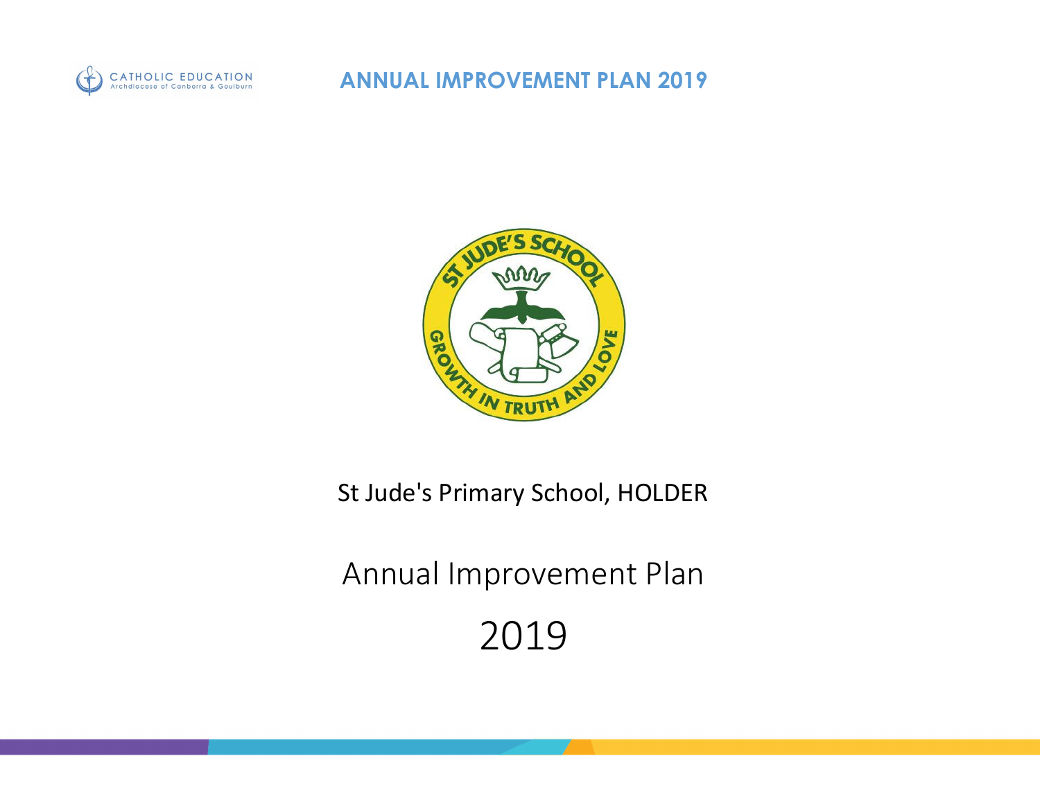



St Jude's Primary School, HOLDER

Annual Improvement Plan

2019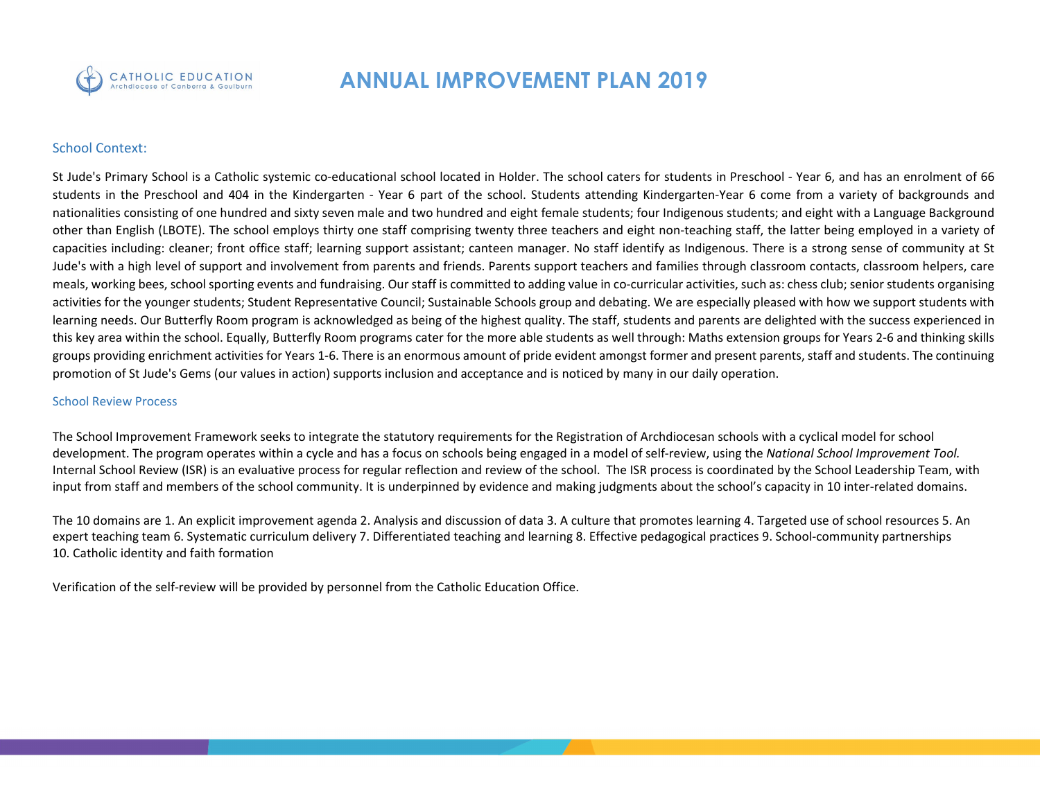

### School Context:

St Jude's Primary School is a Catholic systemic co-educational school located in Holder. The school caters for students in Preschool - Year 6, and has an enrolment of 66 students in the Preschool and 404 in the Kindergarten - Year 6 part of the school. Students attending Kindergarten-Year 6 come from a variety of backgrounds and nationalities consisting of one hundred and sixty seven male and two hundred and eight female students; four Indigenous students; and eight with a Language Background other than English (LBOTE). The school employs thirty one staff comprising twenty three teachers and eight non‐teaching staff, the latter being employed in a variety of capacities including: cleaner; front office staff; learning support assistant; canteen manager. No staff identify as Indigenous. There is a strong sense of community at St Jude's with a high level of support and involvement from parents and friends. Parents support teachers and families through classroom contacts, classroom helpers, care meals, working bees, school sporting events and fundraising. Our staff is committed to adding value in co-curricular activities, such as: chess club; senior students organising activities for the younger students; Student Representative Council; Sustainable Schools group and debating. We are especially pleased with how we support students with learning needs. Our Butterfly Room program is acknowledged as being of the highest quality. The staff, students and parents are delighted with the success experienced in this key area within the school. Equally, Butterfly Room programs cater for the more able students as well through: Maths extension groups for Years 2‐6 and thinking skills groups providing enrichment activities for Years 1‐6. There is an enormous amount of pride evident amongst former and present parents, staff and students. The continuing promotion of St Jude's Gems (our values in action) supports inclusion and acceptance and is noticed by many in our daily operation.

#### School Review Process

The School Improvement Framework seeks to integrate the statutory requirements for the Registration of Archdiocesan schools with a cyclical model for school development. The program operates within a cycle and has a focus on schools being engaged in a model of self-review, using the *National School Improvement Tool.* Internal School Review (ISR) is an evaluative process for regular reflection and review of the school. The ISR process is coordinated by the School Leadership Team, with input from staff and members of the school community. It is underpinned by evidence and making judgments about the school's capacity in 10 inter-related domains.

The 10 domains are 1. An explicit improvement agenda 2. Analysis and discussion of data 3. A culture that promotes learning 4. Targeted use of school resources 5. An expert teaching team 6. Systematic curriculum delivery 7. Differentiated teaching and learning 8. Effective pedagogical practices 9. School‐community partnerships 10. Catholic identity and faith formation

Verification of the self‐review will be provided by personnel from the Catholic Education Office.